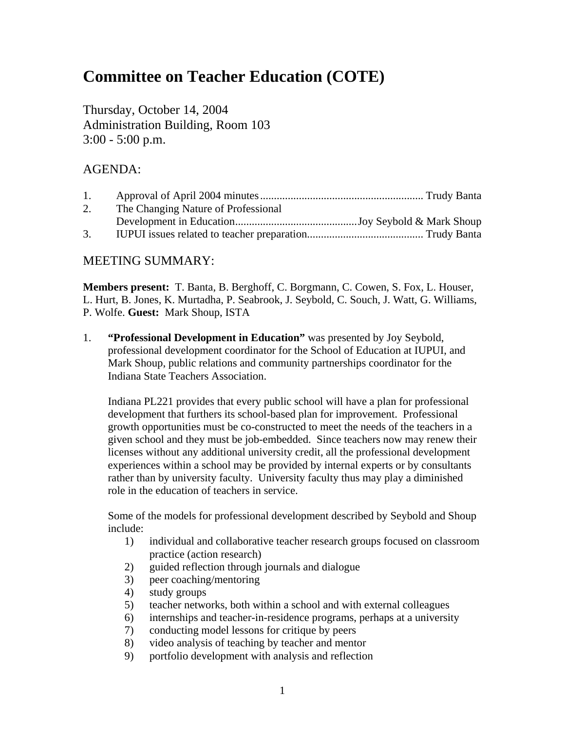# **Committee on Teacher Education (COTE)**

Thursday, October 14, 2004 Administration Building, Room 103 3:00 - 5:00 p.m.

#### AGENDA:

| 1. |                                     |  |
|----|-------------------------------------|--|
| 2. | The Changing Nature of Professional |  |
|    |                                     |  |
| 3. |                                     |  |

#### MEETING SUMMARY:

**Members present:** T. Banta, B. Berghoff, C. Borgmann, C. Cowen, S. Fox, L. Houser, L. Hurt, B. Jones, K. Murtadha, P. Seabrook, J. Seybold, C. Souch, J. Watt, G. Williams, P. Wolfe. **Guest:** Mark Shoup, ISTA

1. **"Professional Development in Education"** was presented by Joy Seybold, professional development coordinator for the School of Education at IUPUI, and Mark Shoup, public relations and community partnerships coordinator for the Indiana State Teachers Association.

 Indiana PL221 provides that every public school will have a plan for professional development that furthers its school-based plan for improvement. Professional growth opportunities must be co-constructed to meet the needs of the teachers in a given school and they must be job-embedded. Since teachers now may renew their licenses without any additional university credit, all the professional development experiences within a school may be provided by internal experts or by consultants rather than by university faculty. University faculty thus may play a diminished role in the education of teachers in service.

 Some of the models for professional development described by Seybold and Shoup include:

- 1) individual and collaborative teacher research groups focused on classroom practice (action research)
- 2) guided reflection through journals and dialogue
- 3) peer coaching/mentoring
- 4) study groups
- 5) teacher networks, both within a school and with external colleagues
- 6) internships and teacher-in-residence programs, perhaps at a university
- 7) conducting model lessons for critique by peers
- 8) video analysis of teaching by teacher and mentor
- 9) portfolio development with analysis and reflection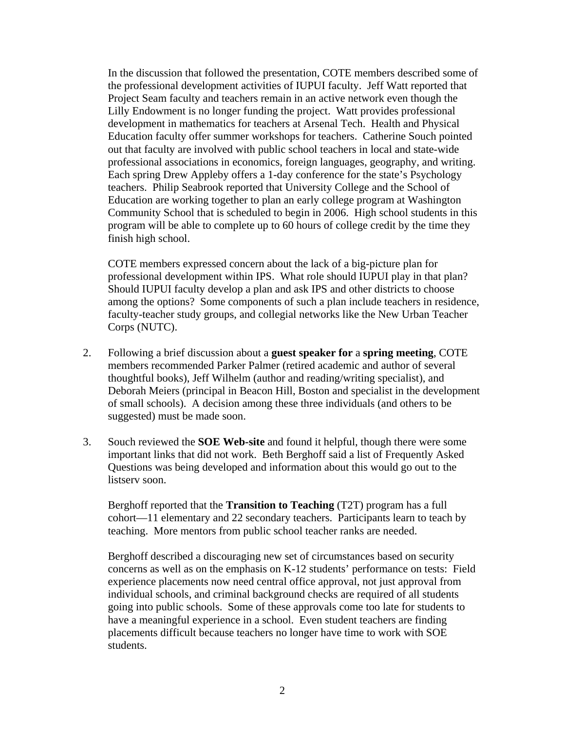In the discussion that followed the presentation, COTE members described some of the professional development activities of IUPUI faculty. Jeff Watt reported that Project Seam faculty and teachers remain in an active network even though the Lilly Endowment is no longer funding the project. Watt provides professional development in mathematics for teachers at Arsenal Tech. Health and Physical Education faculty offer summer workshops for teachers. Catherine Souch pointed out that faculty are involved with public school teachers in local and state-wide professional associations in economics, foreign languages, geography, and writing. Each spring Drew Appleby offers a 1-day conference for the state's Psychology teachers. Philip Seabrook reported that University College and the School of Education are working together to plan an early college program at Washington Community School that is scheduled to begin in 2006. High school students in this program will be able to complete up to 60 hours of college credit by the time they finish high school.

 COTE members expressed concern about the lack of a big-picture plan for professional development within IPS. What role should IUPUI play in that plan? Should IUPUI faculty develop a plan and ask IPS and other districts to choose among the options? Some components of such a plan include teachers in residence, faculty-teacher study groups, and collegial networks like the New Urban Teacher Corps (NUTC).

- 2. Following a brief discussion about a **guest speaker for** a **spring meeting**, COTE members recommended Parker Palmer (retired academic and author of several thoughtful books), Jeff Wilhelm (author and reading/writing specialist), and Deborah Meiers (principal in Beacon Hill, Boston and specialist in the development of small schools). A decision among these three individuals (and others to be suggested) must be made soon.
- 3. Souch reviewed the **SOE Web-site** and found it helpful, though there were some important links that did not work. Beth Berghoff said a list of Frequently Asked Questions was being developed and information about this would go out to the listserv soon.

 Berghoff reported that the **Transition to Teaching** (T2T) program has a full cohort—11 elementary and 22 secondary teachers. Participants learn to teach by teaching. More mentors from public school teacher ranks are needed.

 Berghoff described a discouraging new set of circumstances based on security concerns as well as on the emphasis on K-12 students' performance on tests: Field experience placements now need central office approval, not just approval from individual schools, and criminal background checks are required of all students going into public schools. Some of these approvals come too late for students to have a meaningful experience in a school. Even student teachers are finding placements difficult because teachers no longer have time to work with SOE students.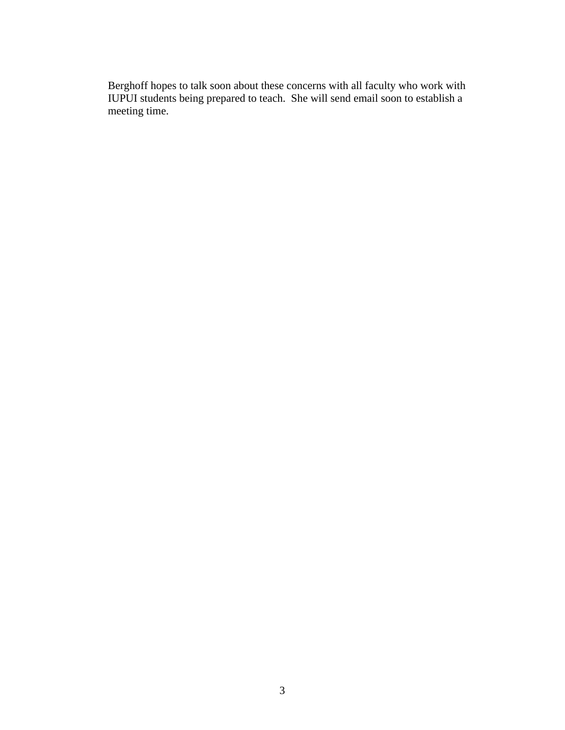Berghoff hopes to talk soon about these concerns with all faculty who work with IUPUI students being prepared to teach. She will send email soon to establish a meeting time.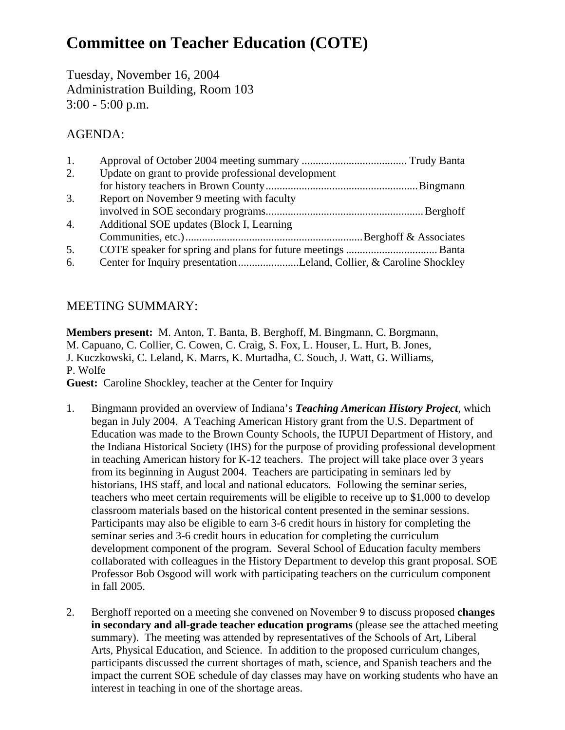# **Committee on Teacher Education (COTE)**

Tuesday, November 16, 2004 Administration Building, Room 103 3:00 - 5:00 p.m.

### AGENDA:

| 1.               |                                                                     |  |
|------------------|---------------------------------------------------------------------|--|
| 2.               | Update on grant to provide professional development                 |  |
|                  |                                                                     |  |
| 3.               | Report on November 9 meeting with faculty                           |  |
|                  |                                                                     |  |
| $\overline{4}$ . | Additional SOE updates (Block I, Learning                           |  |
|                  |                                                                     |  |
| 5.               |                                                                     |  |
| 6.               | Center for Inquiry presentationLeland, Collier, & Caroline Shockley |  |

### MEETING SUMMARY:

**Members present:** M. Anton, T. Banta, B. Berghoff, M. Bingmann, C. Borgmann, M. Capuano, C. Collier, C. Cowen, C. Craig, S. Fox, L. Houser, L. Hurt, B. Jones, J. Kuczkowski, C. Leland, K. Marrs, K. Murtadha, C. Souch, J. Watt, G. Williams, P. Wolfe **Guest:** Caroline Shockley, teacher at the Center for Inquiry

- 1. Bingmann provided an overview of Indiana's *Teaching American History Project*, which began in July 2004. A Teaching American History grant from the U.S. Department of Education was made to the Brown County Schools, the IUPUI Department of History, and the Indiana Historical Society (IHS) for the purpose of providing professional development in teaching American history for K-12 teachers. The project will take place over 3 years from its beginning in August 2004. Teachers are participating in seminars led by historians, IHS staff, and local and national educators. Following the seminar series, teachers who meet certain requirements will be eligible to receive up to \$1,000 to develop classroom materials based on the historical content presented in the seminar sessions. Participants may also be eligible to earn 3-6 credit hours in history for completing the seminar series and 3-6 credit hours in education for completing the curriculum development component of the program. Several School of Education faculty members collaborated with colleagues in the History Department to develop this grant proposal. SOE Professor Bob Osgood will work with participating teachers on the curriculum component in fall 2005.
- 2. Berghoff reported on a meeting she convened on November 9 to discuss proposed **changes in secondary and all-grade teacher education programs** (please see the attached meeting summary). The meeting was attended by representatives of the Schools of Art, Liberal Arts, Physical Education, and Science. In addition to the proposed curriculum changes, participants discussed the current shortages of math, science, and Spanish teachers and the impact the current SOE schedule of day classes may have on working students who have an interest in teaching in one of the shortage areas.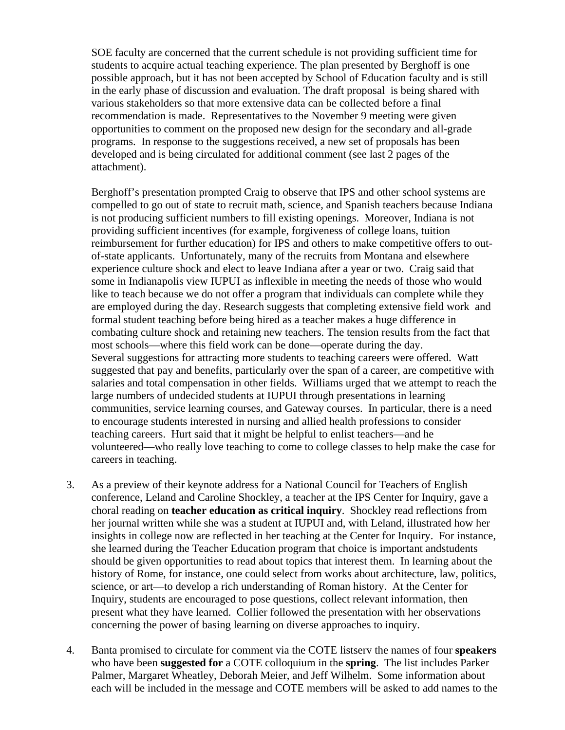SOE faculty are concerned that the current schedule is not providing sufficient time for students to acquire actual teaching experience. The plan presented by Berghoff is one possible approach, but it has not been accepted by School of Education faculty and is still in the early phase of discussion and evaluation. The draft proposal is being shared with various stakeholders so that more extensive data can be collected before a final recommendation is made. Representatives to the November 9 meeting were given opportunities to comment on the proposed new design for the secondary and all-grade programs. In response to the suggestions received, a new set of proposals has been developed and is being circulated for additional comment (see last 2 pages of the attachment).

 Berghoff's presentation prompted Craig to observe that IPS and other school systems are compelled to go out of state to recruit math, science, and Spanish teachers because Indiana is not producing sufficient numbers to fill existing openings. Moreover, Indiana is not providing sufficient incentives (for example, forgiveness of college loans, tuition reimbursement for further education) for IPS and others to make competitive offers to outof-state applicants. Unfortunately, many of the recruits from Montana and elsewhere experience culture shock and elect to leave Indiana after a year or two. Craig said that some in Indianapolis view IUPUI as inflexible in meeting the needs of those who would like to teach because we do not offer a program that individuals can complete while they are employed during the day. Research suggests that completing extensive field work and formal student teaching before being hired as a teacher makes a huge difference in combating culture shock and retaining new teachers. The tension results from the fact that most schools—where this field work can be done—operate during the day. Several suggestions for attracting more students to teaching careers were offered. Watt suggested that pay and benefits, particularly over the span of a career, are competitive with salaries and total compensation in other fields. Williams urged that we attempt to reach the large numbers of undecided students at IUPUI through presentations in learning communities, service learning courses, and Gateway courses. In particular, there is a need to encourage students interested in nursing and allied health professions to consider teaching careers. Hurt said that it might be helpful to enlist teachers—and he volunteered—who really love teaching to come to college classes to help make the case for careers in teaching.

- 3. As a preview of their keynote address for a National Council for Teachers of English conference, Leland and Caroline Shockley, a teacher at the IPS Center for Inquiry, gave a choral reading on **teacher education as critical inquiry**. Shockley read reflections from her journal written while she was a student at IUPUI and, with Leland, illustrated how her insights in college now are reflected in her teaching at the Center for Inquiry. For instance, she learned during the Teacher Education program that choice is important andstudents should be given opportunities to read about topics that interest them. In learning about the history of Rome, for instance, one could select from works about architecture, law, politics, science, or art—to develop a rich understanding of Roman history. At the Center for Inquiry, students are encouraged to pose questions, collect relevant information, then present what they have learned. Collier followed the presentation with her observations concerning the power of basing learning on diverse approaches to inquiry.
- 4. Banta promised to circulate for comment via the COTE listserv the names of four **speakers** who have been **suggested for** a COTE colloquium in the **spring**. The list includes Parker Palmer, Margaret Wheatley, Deborah Meier, and Jeff Wilhelm. Some information about each will be included in the message and COTE members will be asked to add names to the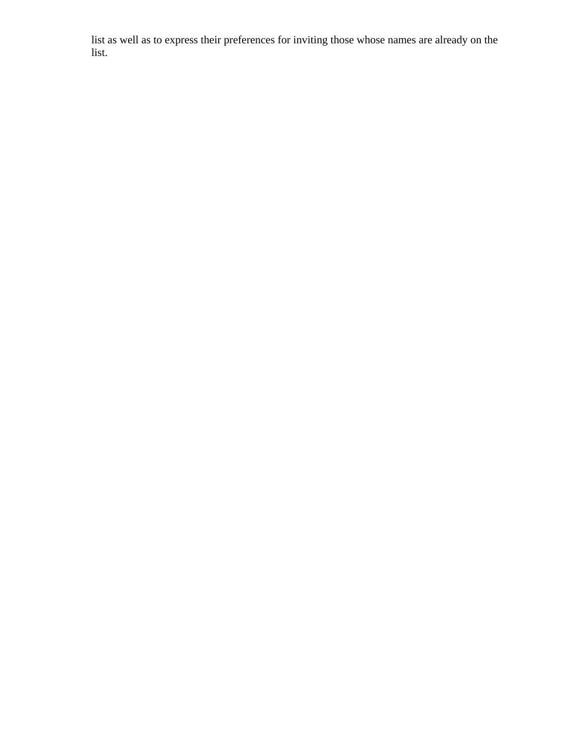list as well as to express their preferences for inviting those whose names are already on the list.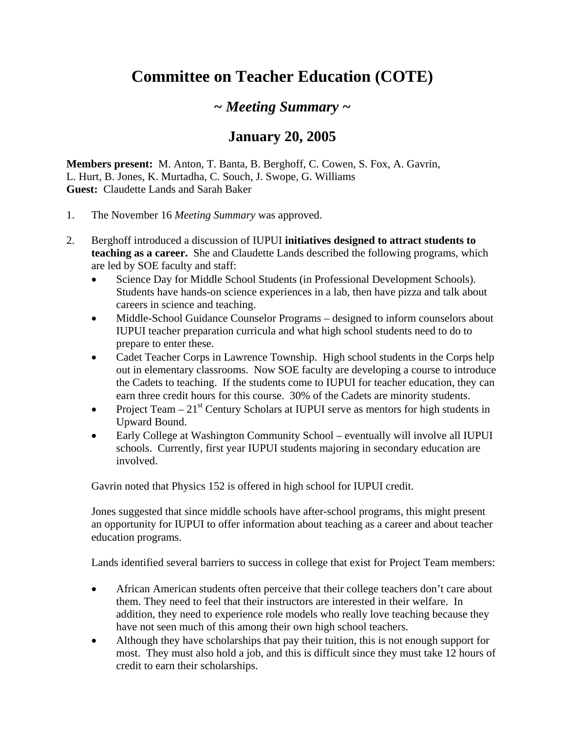# **Committee on Teacher Education (COTE)**

## *~ Meeting Summary ~*

## **January 20, 2005**

**Members present:** M. Anton, T. Banta, B. Berghoff, C. Cowen, S. Fox, A. Gavrin, L. Hurt, B. Jones, K. Murtadha, C. Souch, J. Swope, G. Williams **Guest:** Claudette Lands and Sarah Baker

- 1. The November 16 *Meeting Summary* was approved.
- 2. Berghoff introduced a discussion of IUPUI **initiatives designed to attract students to teaching as a career.** She and Claudette Lands described the following programs, which are led by SOE faculty and staff:
	- Science Day for Middle School Students (in Professional Development Schools). Students have hands-on science experiences in a lab, then have pizza and talk about careers in science and teaching.
	- Middle-School Guidance Counselor Programs designed to inform counselors about IUPUI teacher preparation curricula and what high school students need to do to prepare to enter these.
	- Cadet Teacher Corps in Lawrence Township. High school students in the Corps help out in elementary classrooms. Now SOE faculty are developing a course to introduce the Cadets to teaching. If the students come to IUPUI for teacher education, they can earn three credit hours for this course. 30% of the Cadets are minority students.
	- Project Team  $-21<sup>st</sup>$  Century Scholars at IUPUI serve as mentors for high students in Upward Bound.
	- Early College at Washington Community School eventually will involve all IUPUI schools. Currently, first year IUPUI students majoring in secondary education are involved.

Gavrin noted that Physics 152 is offered in high school for IUPUI credit.

Jones suggested that since middle schools have after-school programs, this might present an opportunity for IUPUI to offer information about teaching as a career and about teacher education programs.

Lands identified several barriers to success in college that exist for Project Team members:

- African American students often perceive that their college teachers don't care about them. They need to feel that their instructors are interested in their welfare. In addition, they need to experience role models who really love teaching because they have not seen much of this among their own high school teachers.
- Although they have scholarships that pay their tuition, this is not enough support for most. They must also hold a job, and this is difficult since they must take 12 hours of credit to earn their scholarships.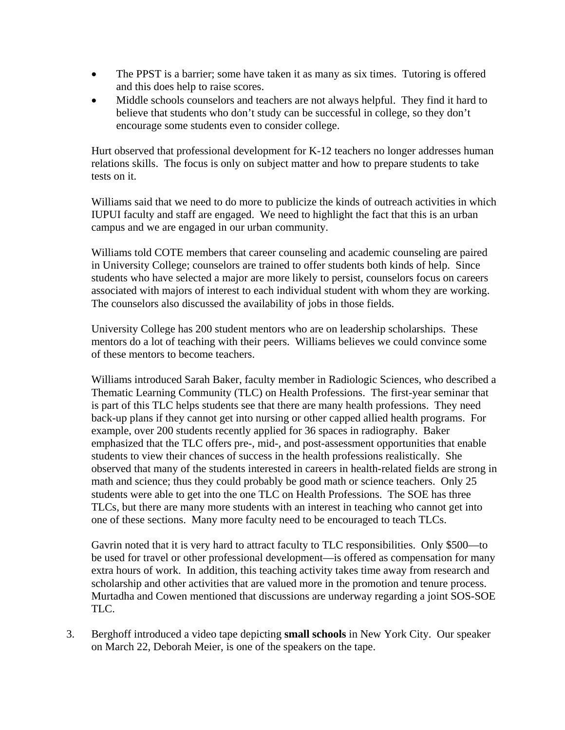- The PPST is a barrier; some have taken it as many as six times. Tutoring is offered and this does help to raise scores.
- Middle schools counselors and teachers are not always helpful. They find it hard to believe that students who don't study can be successful in college, so they don't encourage some students even to consider college.

Hurt observed that professional development for K-12 teachers no longer addresses human relations skills. The focus is only on subject matter and how to prepare students to take tests on it.

Williams said that we need to do more to publicize the kinds of outreach activities in which IUPUI faculty and staff are engaged. We need to highlight the fact that this is an urban campus and we are engaged in our urban community.

Williams told COTE members that career counseling and academic counseling are paired in University College; counselors are trained to offer students both kinds of help. Since students who have selected a major are more likely to persist, counselors focus on careers associated with majors of interest to each individual student with whom they are working. The counselors also discussed the availability of jobs in those fields.

University College has 200 student mentors who are on leadership scholarships. These mentors do a lot of teaching with their peers. Williams believes we could convince some of these mentors to become teachers.

Williams introduced Sarah Baker, faculty member in Radiologic Sciences, who described a Thematic Learning Community (TLC) on Health Professions. The first-year seminar that is part of this TLC helps students see that there are many health professions. They need back-up plans if they cannot get into nursing or other capped allied health programs. For example, over 200 students recently applied for 36 spaces in radiography. Baker emphasized that the TLC offers pre-, mid-, and post-assessment opportunities that enable students to view their chances of success in the health professions realistically. She observed that many of the students interested in careers in health-related fields are strong in math and science; thus they could probably be good math or science teachers. Only 25 students were able to get into the one TLC on Health Professions. The SOE has three TLCs, but there are many more students with an interest in teaching who cannot get into one of these sections. Many more faculty need to be encouraged to teach TLCs.

Gavrin noted that it is very hard to attract faculty to TLC responsibilities. Only \$500—to be used for travel or other professional development—is offered as compensation for many extra hours of work. In addition, this teaching activity takes time away from research and scholarship and other activities that are valued more in the promotion and tenure process. Murtadha and Cowen mentioned that discussions are underway regarding a joint SOS-SOE TLC.

3. Berghoff introduced a video tape depicting **small schools** in New York City. Our speaker on March 22, Deborah Meier, is one of the speakers on the tape.